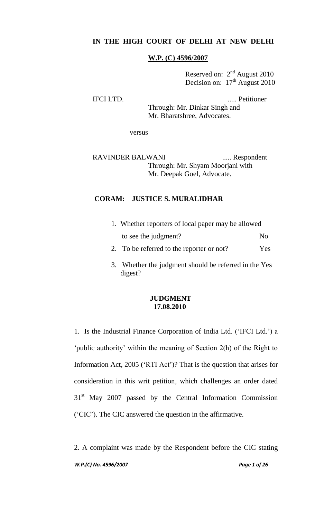# **IN THE HIGH COURT OF DELHI AT NEW DELHI**

#### **W.P. (C) 4596/2007**

Reserved on:  $2<sup>nd</sup>$  August 2010 Decision on:  $17<sup>th</sup>$  August 2010

IFCI LTD. ..... Petitioner

Through: Mr. Dinkar Singh and Mr. Bharatshree, Advocates.

versus

RAVINDER BALWANI ...... Respondent Through: Mr. Shyam Moorjani with Mr. Deepak Goel, Advocate.

## **CORAM: JUSTICE S. MURALIDHAR**

| 1. Whether reporters of local paper may be allowed |              |
|----------------------------------------------------|--------------|
| to see the judgment?                               | $N_{\Omega}$ |
| 2. To be referred to the reporter or not?          | Yes.         |

3. Whether the judgment should be referred in the Yes digest?

## **JUDGMENT 17.08.2010**

1. Is the Industrial Finance Corporation of India Ltd. ("IFCI Ltd.") a 'public authority' within the meaning of Section 2(h) of the Right to Information Act, 2005 ('RTI Act')? That is the question that arises for consideration in this writ petition, which challenges an order dated 31<sup>st</sup> May 2007 passed by the Central Information Commission ("CIC"). The CIC answered the question in the affirmative.

*W.P.(C) No. 4596/2007 Page 1 of 26* 2. A complaint was made by the Respondent before the CIC stating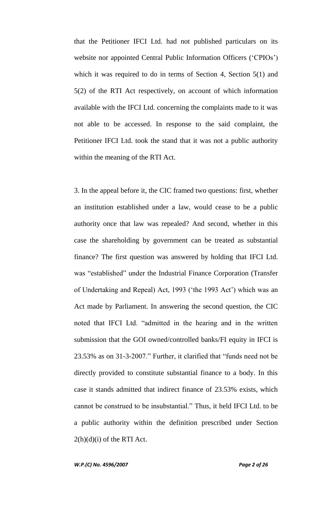that the Petitioner IFCI Ltd. had not published particulars on its website nor appointed Central Public Information Officers ('CPIOs') which it was required to do in terms of Section 4, Section 5(1) and 5(2) of the RTI Act respectively, on account of which information available with the IFCI Ltd. concerning the complaints made to it was not able to be accessed. In response to the said complaint, the Petitioner IFCI Ltd. took the stand that it was not a public authority within the meaning of the RTI Act.

3. In the appeal before it, the CIC framed two questions: first, whether an institution established under a law, would cease to be a public authority once that law was repealed? And second, whether in this case the shareholding by government can be treated as substantial finance? The first question was answered by holding that IFCI Ltd. was "established" under the Industrial Finance Corporation (Transfer of Undertaking and Repeal) Act, 1993 ("the 1993 Act") which was an Act made by Parliament. In answering the second question, the CIC noted that IFCI Ltd. "admitted in the hearing and in the written submission that the GOI owned/controlled banks/FI equity in IFCI is 23.53% as on 31-3-2007." Further, it clarified that "funds need not be directly provided to constitute substantial finance to a body. In this case it stands admitted that indirect finance of 23.53% exists, which cannot be construed to be insubstantial." Thus, it held IFCI Ltd. to be a public authority within the definition prescribed under Section  $2(h)(d)(i)$  of the RTI Act.

*W.P.(C) No. 4596/2007 Page 2 of 26*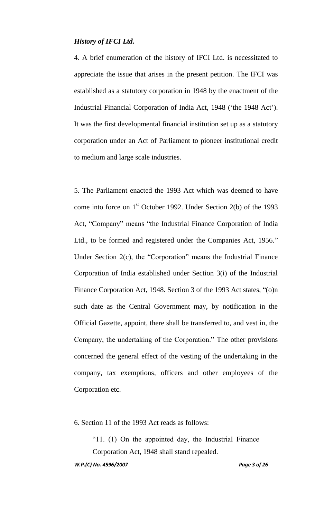### *History of IFCI Ltd.*

4. A brief enumeration of the history of IFCI Ltd. is necessitated to appreciate the issue that arises in the present petition. The IFCI was established as a statutory corporation in 1948 by the enactment of the Industrial Financial Corporation of India Act, 1948 ("the 1948 Act"). It was the first developmental financial institution set up as a statutory corporation under an Act of Parliament to pioneer institutional credit to medium and large scale industries.

5. The Parliament enacted the 1993 Act which was deemed to have come into force on  $1<sup>st</sup>$  October 1992. Under Section 2(b) of the 1993 Act, "Company" means "the Industrial Finance Corporation of India Ltd., to be formed and registered under the Companies Act, 1956." Under Section 2(c), the "Corporation" means the Industrial Finance Corporation of India established under Section 3(i) of the Industrial Finance Corporation Act, 1948. Section 3 of the 1993 Act states, "(o)n such date as the Central Government may, by notification in the Official Gazette, appoint, there shall be transferred to, and vest in, the Company, the undertaking of the Corporation." The other provisions concerned the general effect of the vesting of the undertaking in the company, tax exemptions, officers and other employees of the Corporation etc.

6. Section 11 of the 1993 Act reads as follows:

"11. (1) On the appointed day, the Industrial Finance Corporation Act, 1948 shall stand repealed.

*W.P.(C) No. 4596/2007 Page 3 of 26*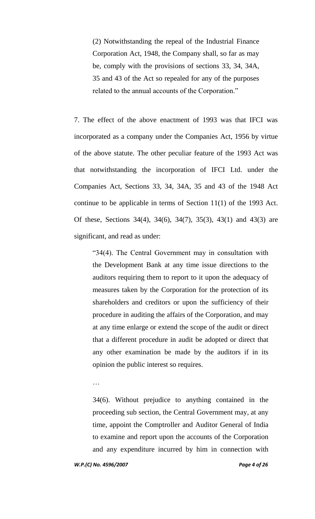(2) Notwithstanding the repeal of the Industrial Finance Corporation Act, 1948, the Company shall, so far as may be, comply with the provisions of sections 33, 34, 34A, 35 and 43 of the Act so repealed for any of the purposes related to the annual accounts of the Corporation."

7. The effect of the above enactment of 1993 was that IFCI was incorporated as a company under the Companies Act, 1956 by virtue of the above statute. The other peculiar feature of the 1993 Act was that notwithstanding the incorporation of IFCI Ltd. under the Companies Act, Sections 33, 34, 34A, 35 and 43 of the 1948 Act continue to be applicable in terms of Section 11(1) of the 1993 Act. Of these, Sections 34(4), 34(6), 34(7), 35(3), 43(1) and 43(3) are significant, and read as under:

"34(4). The Central Government may in consultation with the Development Bank at any time issue directions to the auditors requiring them to report to it upon the adequacy of measures taken by the Corporation for the protection of its shareholders and creditors or upon the sufficiency of their procedure in auditing the affairs of the Corporation, and may at any time enlarge or extend the scope of the audit or direct that a different procedure in audit be adopted or direct that any other examination be made by the auditors if in its opinion the public interest so requires.

…

34(6). Without prejudice to anything contained in the proceeding sub section, the Central Government may, at any time, appoint the Comptroller and Auditor General of India to examine and report upon the accounts of the Corporation and any expenditure incurred by him in connection with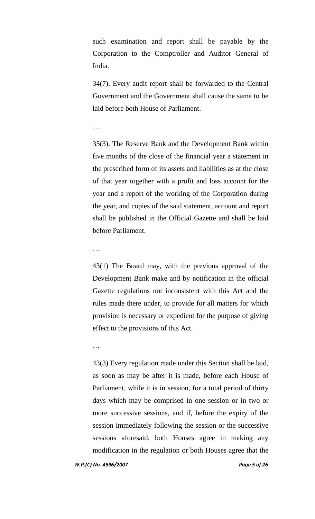such examination and report shall be payable by the Corporation to the Comptroller and Auditor General of India.

34(7). Every audit report shall be forwarded to the Central Government and the Government shall cause the same to be laid before both House of Parliament.

#### …

35(3). The Reserve Bank and the Development Bank within five months of the close of the financial year a statement in the prescribed form of its assets and liabilities as at the close of that year together with a profit and loss account for the year and a report of the working of the Corporation during the year, and copies of the said statement, account and report shall be published in the Official Gazette and shall be laid before Parliament.

#### …

43(1) The Board may, with the previous approval of the Development Bank make and by notification in the official Gazette regulations not inconsistent with this Act and the rules made there under, to provide for all matters for which provision is necessary or expedient for the purpose of giving effect to the provisions of this Act.

#### …

43(3) Every regulation made under this Section shall be laid, as soon as may be after it is made, before each House of Parliament, while it is in session, for a total period of thirty days which may be comprised in one session or in two or more successive sessions, and if, before the expiry of the session immediately following the session or the successive sessions aforesaid, both Houses agree in making any modification in the regulation or both Houses agree that the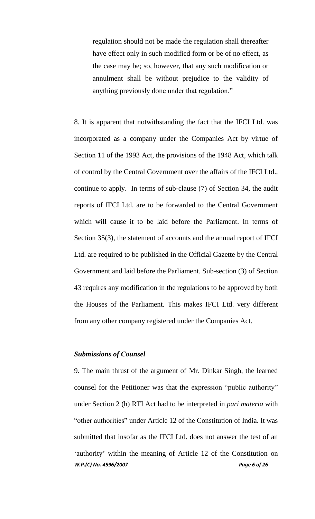regulation should not be made the regulation shall thereafter have effect only in such modified form or be of no effect, as the case may be; so, however, that any such modification or annulment shall be without prejudice to the validity of anything previously done under that regulation."

8. It is apparent that notwithstanding the fact that the IFCI Ltd. was incorporated as a company under the Companies Act by virtue of Section 11 of the 1993 Act, the provisions of the 1948 Act, which talk of control by the Central Government over the affairs of the IFCI Ltd., continue to apply. In terms of sub-clause (7) of Section 34, the audit reports of IFCI Ltd. are to be forwarded to the Central Government which will cause it to be laid before the Parliament. In terms of Section 35(3), the statement of accounts and the annual report of IFCI Ltd. are required to be published in the Official Gazette by the Central Government and laid before the Parliament. Sub-section (3) of Section 43 requires any modification in the regulations to be approved by both the Houses of the Parliament. This makes IFCI Ltd. very different from any other company registered under the Companies Act.

## *Submissions of Counsel*

*W.P.(C) No. 4596/2007 Page 6 of 26* 9. The main thrust of the argument of Mr. Dinkar Singh, the learned counsel for the Petitioner was that the expression "public authority" under Section 2 (h) RTI Act had to be interpreted in *pari materia* with "other authorities" under Article 12 of the Constitution of India. It was submitted that insofar as the IFCI Ltd. does not answer the test of an 'authority' within the meaning of Article 12 of the Constitution on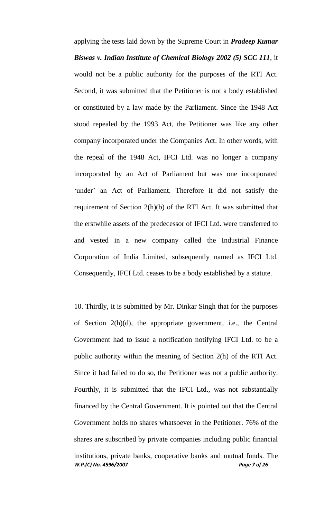applying the tests laid down by the Supreme Court in *Pradeep Kumar Biswas v. Indian Institute of Chemical Biology 2002 (5) SCC 111*, it would not be a public authority for the purposes of the RTI Act. Second, it was submitted that the Petitioner is not a body established or constituted by a law made by the Parliament. Since the 1948 Act stood repealed by the 1993 Act, the Petitioner was like any other company incorporated under the Companies Act. In other words, with the repeal of the 1948 Act, IFCI Ltd. was no longer a company incorporated by an Act of Parliament but was one incorporated 'under' an Act of Parliament. Therefore it did not satisfy the requirement of Section 2(h)(b) of the RTI Act. It was submitted that the erstwhile assets of the predecessor of IFCI Ltd. were transferred to and vested in a new company called the Industrial Finance Corporation of India Limited, subsequently named as IFCI Ltd. Consequently, IFCI Ltd. ceases to be a body established by a statute.

*W.P.(C) No. 4596/2007 Page 7 of 26* 10. Thirdly, it is submitted by Mr. Dinkar Singh that for the purposes of Section 2(h)(d), the appropriate government, i.e., the Central Government had to issue a notification notifying IFCI Ltd. to be a public authority within the meaning of Section 2(h) of the RTI Act. Since it had failed to do so, the Petitioner was not a public authority. Fourthly, it is submitted that the IFCI Ltd., was not substantially financed by the Central Government. It is pointed out that the Central Government holds no shares whatsoever in the Petitioner. 76% of the shares are subscribed by private companies including public financial institutions, private banks, cooperative banks and mutual funds. The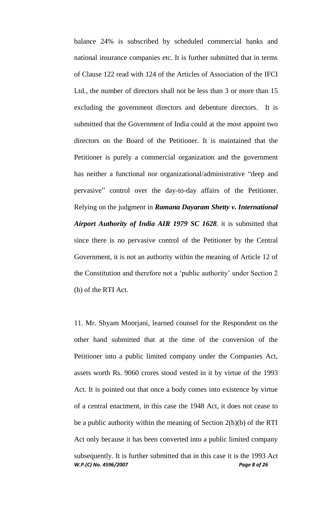balance 24% is subscribed by scheduled commercial banks and national insurance companies etc. It is further submitted that in terms of Clause 122 read with 124 of the Articles of Association of the IFCI Ltd., the number of directors shall not be less than 3 or more than 15 excluding the government directors and debenture directors. It is submitted that the Government of India could at the most appoint two directors on the Board of the Petitioner. It is maintained that the Petitioner is purely a commercial organization and the government has neither a functional nor organizational/administrative "deep and pervasive" control over the day-to-day affairs of the Petitioner. Relying on the judgment in *Ramana Dayaram Shetty v. International Airport Authority of India AIR 1979 SC 1628*, it is submitted that since there is no pervasive control of the Petitioner by the Central Government, it is not an authority within the meaning of Article 12 of the Constitution and therefore not a "public authority" under Section 2 (h) of the RTI Act.

*W.P.(C) No. 4596/2007 Page 8 of 26* 11. Mr. Shyam Moorjani, learned counsel for the Respondent on the other hand submitted that at the time of the conversion of the Petitioner into a public limited company under the Companies Act, assets worth Rs. 9060 crores stood vested in it by virtue of the 1993 Act. It is pointed out that once a body comes into existence by virtue of a central enactment, in this case the 1948 Act, it does not cease to be a public authority within the meaning of Section 2(h)(b) of the RTI Act only because it has been converted into a public limited company subsequently. It is further submitted that in this case it is the 1993 Act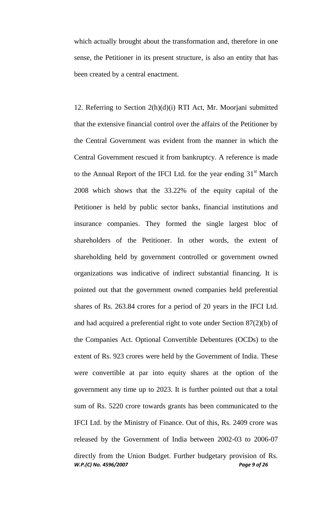which actually brought about the transformation and, therefore in one sense, the Petitioner in its present structure, is also an entity that has been created by a central enactment.

*W.P.(C) No. 4596/2007 Page 9 of 26* 12. Referring to Section 2(h)(d)(i) RTI Act, Mr. Moorjani submitted that the extensive financial control over the affairs of the Petitioner by the Central Government was evident from the manner in which the Central Government rescued it from bankruptcy. A reference is made to the Annual Report of the IFCI Ltd. for the year ending  $31<sup>st</sup>$  March 2008 which shows that the 33.22% of the equity capital of the Petitioner is held by public sector banks, financial institutions and insurance companies. They formed the single largest bloc of shareholders of the Petitioner. In other words, the extent of shareholding held by government controlled or government owned organizations was indicative of indirect substantial financing. It is pointed out that the government owned companies held preferential shares of Rs. 263.84 crores for a period of 20 years in the IFCI Ltd. and had acquired a preferential right to vote under Section 87(2)(b) of the Companies Act. Optional Convertible Debentures (OCDs) to the extent of Rs. 923 crores were held by the Government of India. These were convertible at par into equity shares at the option of the government any time up to 2023. It is further pointed out that a total sum of Rs. 5220 crore towards grants has been communicated to the IFCI Ltd. by the Ministry of Finance. Out of this, Rs. 2409 crore was released by the Government of India between 2002-03 to 2006-07 directly from the Union Budget. Further budgetary provision of Rs.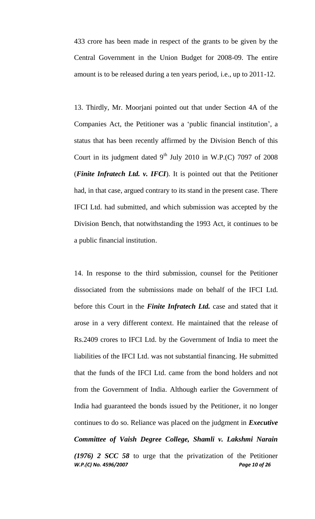433 crore has been made in respect of the grants to be given by the Central Government in the Union Budget for 2008-09. The entire amount is to be released during a ten years period, i.e., up to 2011-12.

13. Thirdly, Mr. Moorjani pointed out that under Section 4A of the Companies Act, the Petitioner was a "public financial institution", a status that has been recently affirmed by the Division Bench of this Court in its judgment dated  $9<sup>th</sup>$  July 2010 in W.P.(C) 7097 of 2008 (*Finite Infratech Ltd. v. IFCI*). It is pointed out that the Petitioner had, in that case, argued contrary to its stand in the present case. There IFCI Ltd. had submitted, and which submission was accepted by the Division Bench, that notwithstanding the 1993 Act, it continues to be a public financial institution.

*W.P.(C) No. 4596/2007 Page 10 of 26* 14. In response to the third submission, counsel for the Petitioner dissociated from the submissions made on behalf of the IFCI Ltd. before this Court in the *Finite Infratech Ltd.* case and stated that it arose in a very different context. He maintained that the release of Rs.2409 crores to IFCI Ltd. by the Government of India to meet the liabilities of the IFCI Ltd. was not substantial financing. He submitted that the funds of the IFCI Ltd. came from the bond holders and not from the Government of India. Although earlier the Government of India had guaranteed the bonds issued by the Petitioner, it no longer continues to do so. Reliance was placed on the judgment in *Executive Committee of Vaish Degree College, Shamli v. Lakshmi Narain (1976) 2 SCC 58* to urge that the privatization of the Petitioner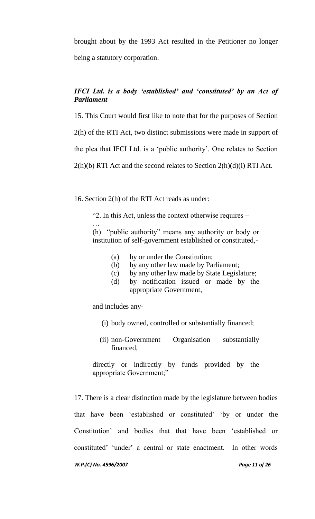brought about by the 1993 Act resulted in the Petitioner no longer being a statutory corporation.

# *IFCI Ltd. is a body 'established' and 'constituted' by an Act of Parliament*

15. This Court would first like to note that for the purposes of Section

2(h) of the RTI Act, two distinct submissions were made in support of

the plea that IFCI Ltd. is a "public authority". One relates to Section

 $2(h)(b)$  RTI Act and the second relates to Section  $2(h)(d)(i)$  RTI Act.

16. Section 2(h) of the RTI Act reads as under:

"2. In this Act, unless the context otherwise requires –

(h) "public authority" means any authority or body or institution of self-government established or constituted,-

- (a) by or under the Constitution;
- (b) by any other law made by Parliament;
- (c) by any other law made by State Legislature;
- (d) by notification issued or made by the appropriate Government,

and includes any-

…

- (i) body owned, controlled or substantially financed;
- (ii) non-Government Organisation substantially financed,

directly or indirectly by funds provided by the appropriate Government;"

17. There is a clear distinction made by the legislature between bodies that have been "established or constituted" "by or under the Constitution" and bodies that that have been "established or constituted' 'under' a central or state enactment. In other words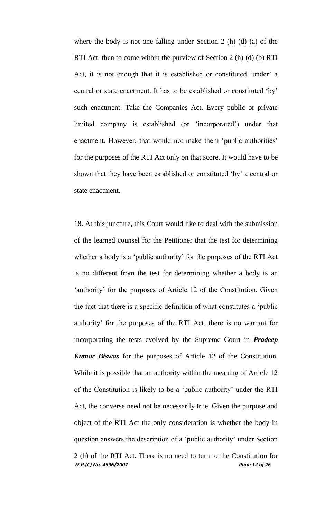where the body is not one falling under Section 2 (h) (d) (a) of the RTI Act, then to come within the purview of Section 2 (h) (d) (b) RTI Act, it is not enough that it is established or constituted 'under' a central or state enactment. It has to be established or constituted "by" such enactment. Take the Companies Act. Every public or private limited company is established (or "incorporated") under that enactment. However, that would not make them 'public authorities' for the purposes of the RTI Act only on that score. It would have to be shown that they have been established or constituted "by" a central or state enactment.

*W.P.(C) No. 4596/2007 Page 12 of 26* 18. At this juncture, this Court would like to deal with the submission of the learned counsel for the Petitioner that the test for determining whether a body is a 'public authority' for the purposes of the RTI Act is no different from the test for determining whether a body is an 'authority' for the purposes of Article 12 of the Constitution. Given the fact that there is a specific definition of what constitutes a "public authority" for the purposes of the RTI Act, there is no warrant for incorporating the tests evolved by the Supreme Court in *Pradeep Kumar Biswas* for the purposes of Article 12 of the Constitution. While it is possible that an authority within the meaning of Article 12 of the Constitution is likely to be a "public authority" under the RTI Act, the converse need not be necessarily true. Given the purpose and object of the RTI Act the only consideration is whether the body in question answers the description of a "public authority" under Section 2 (h) of the RTI Act. There is no need to turn to the Constitution for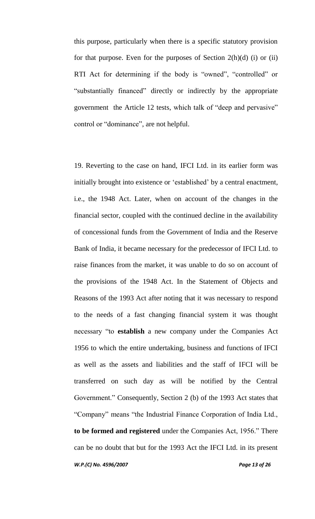this purpose, particularly when there is a specific statutory provision for that purpose. Even for the purposes of Section  $2(h)(d)$  (i) or (ii) RTI Act for determining if the body is "owned", "controlled" or "substantially financed" directly or indirectly by the appropriate government the Article 12 tests, which talk of "deep and pervasive" control or "dominance", are not helpful.

*W.P.(C) No. 4596/2007 Page 13 of 26* 19. Reverting to the case on hand, IFCI Ltd. in its earlier form was initially brought into existence or "established" by a central enactment, i.e., the 1948 Act. Later, when on account of the changes in the financial sector, coupled with the continued decline in the availability of concessional funds from the Government of India and the Reserve Bank of India, it became necessary for the predecessor of IFCI Ltd. to raise finances from the market, it was unable to do so on account of the provisions of the 1948 Act. In the Statement of Objects and Reasons of the 1993 Act after noting that it was necessary to respond to the needs of a fast changing financial system it was thought necessary "to **establish** a new company under the Companies Act 1956 to which the entire undertaking, business and functions of IFCI as well as the assets and liabilities and the staff of IFCI will be transferred on such day as will be notified by the Central Government." Consequently, Section 2 (b) of the 1993 Act states that "Company" means "the Industrial Finance Corporation of India Ltd., **to be formed and registered** under the Companies Act, 1956." There can be no doubt that but for the 1993 Act the IFCI Ltd. in its present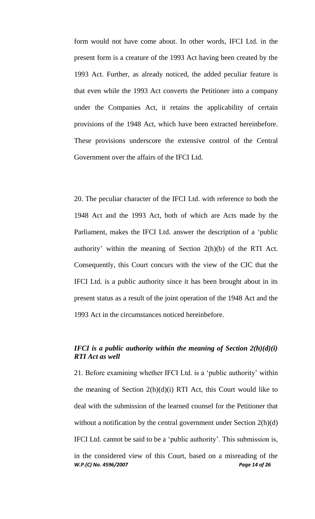form would not have come about. In other words, IFCI Ltd. in the present form is a creature of the 1993 Act having been created by the 1993 Act. Further, as already noticed, the added peculiar feature is that even while the 1993 Act converts the Petitioner into a company under the Companies Act, it retains the applicability of certain provisions of the 1948 Act, which have been extracted hereinbefore. These provisions underscore the extensive control of the Central Government over the affairs of the IFCI Ltd.

20. The peculiar character of the IFCI Ltd. with reference to both the 1948 Act and the 1993 Act, both of which are Acts made by the Parliament, makes the IFCI Ltd. answer the description of a "public authority' within the meaning of Section  $2(h)(b)$  of the RTI Act. Consequently, this Court concurs with the view of the CIC that the IFCI Ltd. is a public authority since it has been brought about in its present status as a result of the joint operation of the 1948 Act and the 1993 Act in the circumstances noticed hereinbefore.

## *IFCI is a public authority within the meaning of Section 2(h)(d)(i) RTI Act as well*

21. Before examining whether IFCI Ltd. is a "public authority" within the meaning of Section  $2(h)(d)(i)$  RTI Act, this Court would like to deal with the submission of the learned counsel for the Petitioner that without a notification by the central government under Section 2(h)(d) IFCI Ltd. cannot be said to be a "public authority". This submission is, in the considered view of this Court, based on a misreading of the

*W.P.(C) No. 4596/2007 Page 14 of 26*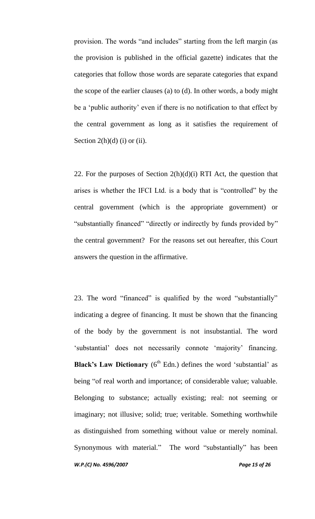provision. The words "and includes" starting from the left margin (as the provision is published in the official gazette) indicates that the categories that follow those words are separate categories that expand the scope of the earlier clauses (a) to (d). In other words, a body might be a 'public authority' even if there is no notification to that effect by the central government as long as it satisfies the requirement of Section  $2(h)(d)$  (i) or (ii).

22. For the purposes of Section  $2(h)(d)(i)$  RTI Act, the question that arises is whether the IFCI Ltd. is a body that is "controlled" by the central government (which is the appropriate government) or "substantially financed" "directly or indirectly by funds provided by" the central government? For the reasons set out hereafter, this Court answers the question in the affirmative.

*W.P.(C) No. 4596/2007 Page 15 of 26* 23. The word "financed" is qualified by the word "substantially" indicating a degree of financing. It must be shown that the financing of the body by the government is not insubstantial. The word 'substantial' does not necessarily connote 'majority' financing. **Black's Law Dictionary**  $(6^{th}$  Edn.) defines the word 'substantial' as being "of real worth and importance; of considerable value; valuable. Belonging to substance; actually existing; real: not seeming or imaginary; not illusive; solid; true; veritable. Something worthwhile as distinguished from something without value or merely nominal. Synonymous with material." The word "substantially" has been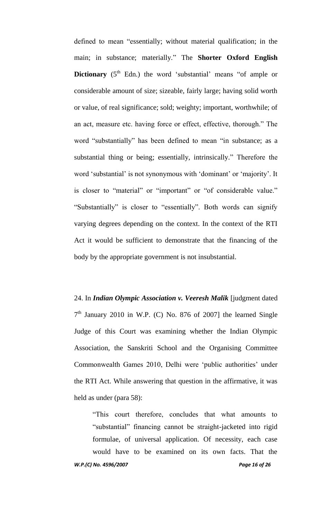defined to mean "essentially; without material qualification; in the main; in substance; materially." The **Shorter Oxford English Dictionary**  $(5<sup>th</sup>$  Edn.) the word 'substantial' means "of ample or considerable amount of size; sizeable, fairly large; having solid worth or value, of real significance; sold; weighty; important, worthwhile; of an act, measure etc. having force or effect, effective, thorough." The word "substantially" has been defined to mean "in substance; as a substantial thing or being; essentially, intrinsically." Therefore the word 'substantial' is not synonymous with 'dominant' or 'majority'. It is closer to "material" or "important" or "of considerable value." "Substantially" is closer to "essentially". Both words can signify varying degrees depending on the context. In the context of the RTI Act it would be sufficient to demonstrate that the financing of the body by the appropriate government is not insubstantial.

24. In *Indian Olympic Association v. Veeresh Malik* [judgment dated  $7<sup>th</sup>$  January 2010 in W.P. (C) No. 876 of 2007] the learned Single Judge of this Court was examining whether the Indian Olympic Association, the Sanskriti School and the Organising Committee Commonwealth Games 2010, Delhi were "public authorities" under the RTI Act. While answering that question in the affirmative, it was held as under (para 58):

*W.P.(C) No. 4596/2007 Page 16 of 26* "This court therefore, concludes that what amounts to "substantial" financing cannot be straight-jacketed into rigid formulae, of universal application. Of necessity, each case would have to be examined on its own facts. That the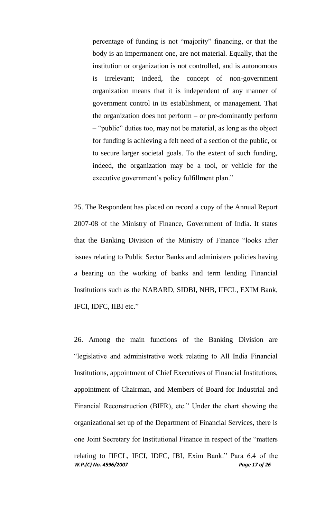percentage of funding is not "majority" financing, or that the body is an impermanent one, are not material. Equally, that the institution or organization is not controlled, and is autonomous is irrelevant; indeed, the concept of non-government organization means that it is independent of any manner of government control in its establishment, or management. That the organization does not perform – or pre-dominantly perform – "public" duties too, may not be material, as long as the object for funding is achieving a felt need of a section of the public, or to secure larger societal goals. To the extent of such funding, indeed, the organization may be a tool, or vehicle for the executive government's policy fulfillment plan."

25. The Respondent has placed on record a copy of the Annual Report 2007-08 of the Ministry of Finance, Government of India. It states that the Banking Division of the Ministry of Finance "looks after issues relating to Public Sector Banks and administers policies having a bearing on the working of banks and term lending Financial Institutions such as the NABARD, SIDBI, NHB, IIFCL, EXIM Bank, IFCI, IDFC, IIBI etc."

*W.P.(C) No. 4596/2007 Page 17 of 26* 26. Among the main functions of the Banking Division are "legislative and administrative work relating to All India Financial Institutions, appointment of Chief Executives of Financial Institutions, appointment of Chairman, and Members of Board for Industrial and Financial Reconstruction (BIFR), etc." Under the chart showing the organizational set up of the Department of Financial Services, there is one Joint Secretary for Institutional Finance in respect of the "matters relating to IIFCL, IFCI, IDFC, IBI, Exim Bank." Para 6.4 of the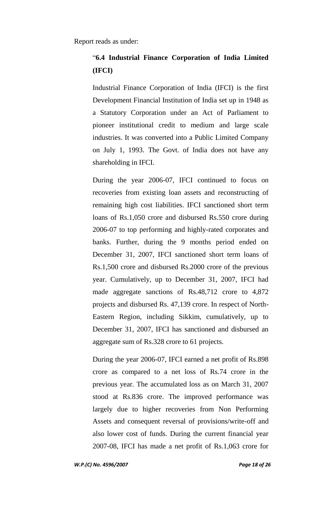# "**6.4 Industrial Finance Corporation of India Limited (IFCI)**

Industrial Finance Corporation of India (IFCI) is the first Development Financial Institution of India set up in 1948 as a Statutory Corporation under an Act of Parliament to pioneer institutional credit to medium and large scale industries. It was converted into a Public Limited Company on July 1, 1993. The Govt. of India does not have any shareholding in IFCI.

During the year 2006-07, IFCI continued to focus on recoveries from existing loan assets and reconstructing of remaining high cost liabilities. IFCI sanctioned short term loans of Rs.1,050 crore and disbursed Rs.550 crore during 2006-07 to top performing and highly-rated corporates and banks. Further, during the 9 months period ended on December 31, 2007, IFCI sanctioned short term loans of Rs.1,500 crore and disbursed Rs.2000 crore of the previous year. Cumulatively, up to December 31, 2007, IFCI had made aggregate sanctions of Rs.48,712 crore to 4,872 projects and disbursed Rs. 47,139 crore. In respect of North-Eastern Region, including Sikkim, cumulatively, up to December 31, 2007, IFCI has sanctioned and disbursed an aggregate sum of Rs.328 crore to 61 projects.

During the year 2006-07, IFCI earned a net profit of Rs.898 crore as compared to a net loss of Rs.74 crore in the previous year. The accumulated loss as on March 31, 2007 stood at Rs.836 crore. The improved performance was largely due to higher recoveries from Non Performing Assets and consequent reversal of provisions/write-off and also lower cost of funds. During the current financial year 2007-08, IFCI has made a net profit of Rs.1,063 crore for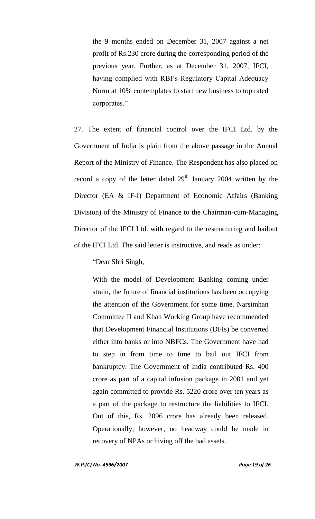the 9 months ended on December 31, 2007 against a net profit of Rs.230 crore during the corresponding period of the previous year. Further, as at December 31, 2007, IFCI, having complied with RBI"s Regulatory Capital Adequacy Norm at 10% contemplates to start new business to top rated corporates."

27. The extent of financial control over the IFCI Ltd. by the Government of India is plain from the above passage in the Annual Report of the Ministry of Finance. The Respondent has also placed on record a copy of the letter dated  $29<sup>th</sup>$  January 2004 written by the Director (EA & IF-I) Department of Economic Affairs (Banking Division) of the Ministry of Finance to the Chairman-cum-Managing Director of the IFCI Ltd. with regard to the restructuring and bailout of the IFCI Ltd. The said letter is instructive, and reads as under:

"Dear Shri Singh,

With the model of Development Banking coming under strain, the future of financial institutions has been occupying the attention of the Government for some time. Narsimhan Committee II and Khan Working Group have recommended that Development Financial Institutions (DFIs) be converted either into banks or into NBFCs. The Government have had to step in from time to time to bail out IFCI from bankruptcy. The Government of India contributed Rs. 400 crore as part of a capital infusion package in 2001 and yet again committed to provide Rs. 5220 crore over ten years as a part of the package to restructure the liabilities to IFCI. Out of this, Rs. 2096 crore has already been released. Operationally, however, no headway could be made in recovery of NPAs or hiving off the bad assets.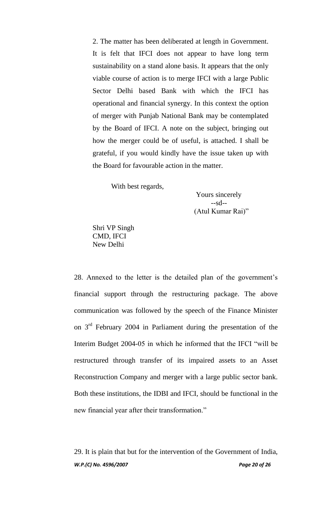2. The matter has been deliberated at length in Government. It is felt that IFCI does not appear to have long term sustainability on a stand alone basis. It appears that the only viable course of action is to merge IFCI with a large Public Sector Delhi based Bank with which the IFCI has operational and financial synergy. In this context the option of merger with Punjab National Bank may be contemplated by the Board of IFCI. A note on the subject, bringing out how the merger could be of useful, is attached. I shall be grateful, if you would kindly have the issue taken up with the Board for favourable action in the matter.

With best regards,

 Yours sincerely  $-sd-$ (Atul Kumar Rai)"

Shri VP Singh CMD, IFCI New Delhi

28. Annexed to the letter is the detailed plan of the government's financial support through the restructuring package. The above communication was followed by the speech of the Finance Minister on 3rd February 2004 in Parliament during the presentation of the Interim Budget 2004-05 in which he informed that the IFCI "will be restructured through transfer of its impaired assets to an Asset Reconstruction Company and merger with a large public sector bank. Both these institutions, the IDBI and IFCI, should be functional in the new financial year after their transformation."

*W.P.(C) No. 4596/2007 Page 20 of 26* 29. It is plain that but for the intervention of the Government of India,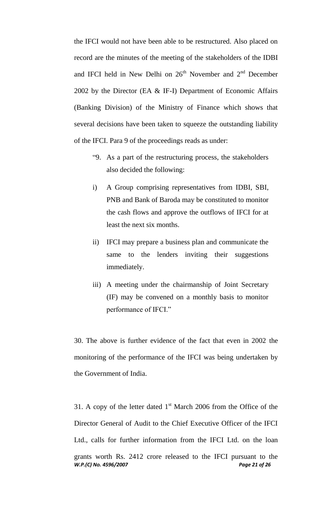the IFCI would not have been able to be restructured. Also placed on record are the minutes of the meeting of the stakeholders of the IDBI and IFCI held in New Delhi on  $26<sup>th</sup>$  November and  $2<sup>nd</sup>$  December 2002 by the Director (EA & IF-I) Department of Economic Affairs (Banking Division) of the Ministry of Finance which shows that several decisions have been taken to squeeze the outstanding liability of the IFCI. Para 9 of the proceedings reads as under:

- "9. As a part of the restructuring process, the stakeholders also decided the following:
- i) A Group comprising representatives from IDBI, SBI, PNB and Bank of Baroda may be constituted to monitor the cash flows and approve the outflows of IFCI for at least the next six months.
- ii) IFCI may prepare a business plan and communicate the same to the lenders inviting their suggestions immediately.
- iii) A meeting under the chairmanship of Joint Secretary (IF) may be convened on a monthly basis to monitor performance of IFCI."

30. The above is further evidence of the fact that even in 2002 the monitoring of the performance of the IFCI was being undertaken by the Government of India.

*W.P.(C) No. 4596/2007 Page 21 of 26* 31. A copy of the letter dated  $1<sup>st</sup>$  March 2006 from the Office of the Director General of Audit to the Chief Executive Officer of the IFCI Ltd., calls for further information from the IFCI Ltd. on the loan grants worth Rs. 2412 crore released to the IFCI pursuant to the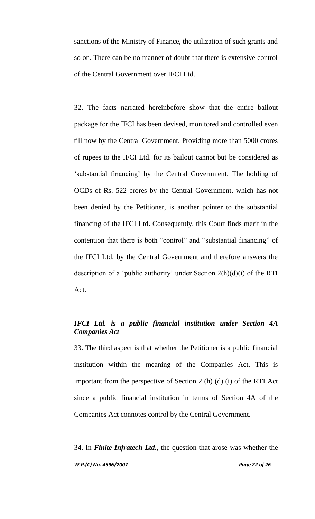sanctions of the Ministry of Finance, the utilization of such grants and so on. There can be no manner of doubt that there is extensive control of the Central Government over IFCI Ltd.

32. The facts narrated hereinbefore show that the entire bailout package for the IFCI has been devised, monitored and controlled even till now by the Central Government. Providing more than 5000 crores of rupees to the IFCI Ltd. for its bailout cannot but be considered as 'substantial financing' by the Central Government. The holding of OCDs of Rs. 522 crores by the Central Government, which has not been denied by the Petitioner, is another pointer to the substantial financing of the IFCI Ltd. Consequently, this Court finds merit in the contention that there is both "control" and "substantial financing" of the IFCI Ltd. by the Central Government and therefore answers the description of a 'public authority' under Section  $2(h)(d)(i)$  of the RTI Act.

# *IFCI Ltd. is a public financial institution under Section 4A Companies Act*

33. The third aspect is that whether the Petitioner is a public financial institution within the meaning of the Companies Act. This is important from the perspective of Section 2 (h) (d) (i) of the RTI Act since a public financial institution in terms of Section 4A of the Companies Act connotes control by the Central Government.

*W.P.(C) No. 4596/2007 Page 22 of 26* 34. In *Finite Infratech Ltd.*, the question that arose was whether the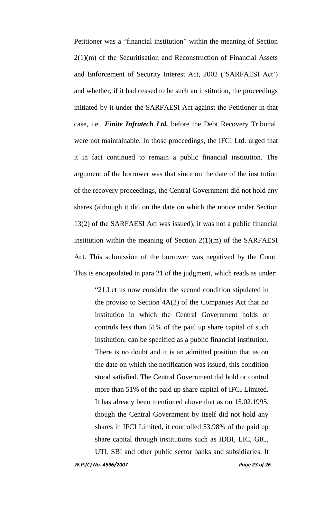Petitioner was a "financial institution" within the meaning of Section 2(1)(m) of the Securitisation and Reconstruction of Financial Assets and Enforcement of Security Interest Act, 2002 ("SARFAESI Act") and whether, if it had ceased to be such an institution, the proceedings initiated by it under the SARFAESI Act against the Petitioner in that case, i.e., *Finite Infratech Ltd.* before the Debt Recovery Tribunal, were not maintainable. In those proceedings, the IFCI Ltd. urged that it in fact continued to remain a public financial institution. The argument of the borrower was that since on the date of the institution of the recovery proceedings, the Central Government did not hold any shares (although it did on the date on which the notice under Section 13(2) of the SARFAESI Act was issued), it was not a public financial institution within the meaning of Section 2(1)(m) of the SARFAESI Act. This submission of the borrower was negatived by the Court. This is encapsulated in para 21 of the judgment, which reads as under:

> "21.Let us now consider the second condition stipulated in the proviso to Section 4A(2) of the Companies Act that no institution in which the Central Government holds or controls less than 51% of the paid up share capital of such institution, can be specified as a public financial institution. There is no doubt and it is an admitted position that as on the date on which the notification was issued, this condition stood satisfied. The Central Government did hold or control more than 51% of the paid up share capital of IFCI Limited. It has already been mentioned above that as on 15.02.1995, though the Central Government by itself did not hold any shares in IFCI Limited, it controlled 53.98% of the paid up share capital through institutions such as IDBI, LIC, GIC, UTI, SBI and other public sector banks and subsidiaries. It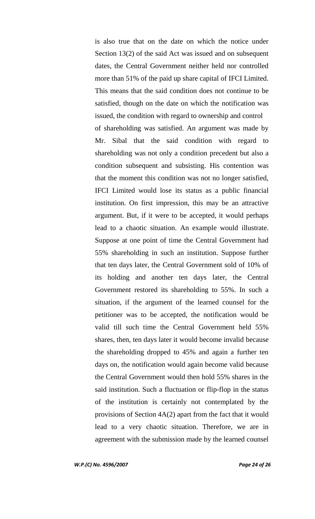is also true that on the date on which the notice under Section 13(2) of the said Act was issued and on subsequent dates, the Central Government neither held nor controlled more than 51% of the paid up share capital of IFCI Limited. This means that the said condition does not continue to be satisfied, though on the date on which the notification was issued, the condition with regard to ownership and control of shareholding was satisfied. An argument was made by Mr. Sibal that the said condition with regard to shareholding was not only a condition precedent but also a condition subsequent and subsisting. His contention was that the moment this condition was not no longer satisfied, IFCI Limited would lose its status as a public financial institution. On first impression, this may be an attractive argument. But, if it were to be accepted, it would perhaps lead to a chaotic situation. An example would illustrate. Suppose at one point of time the Central Government had 55% shareholding in such an institution. Suppose further that ten days later, the Central Government sold of 10% of its holding and another ten days later, the Central Government restored its shareholding to 55%. In such a situation, if the argument of the learned counsel for the petitioner was to be accepted, the notification would be valid till such time the Central Government held 55% shares, then, ten days later it would become invalid because the shareholding dropped to 45% and again a further ten days on, the notification would again become valid because the Central Government would then hold 55% shares in the said institution. Such a fluctuation or flip-flop in the status of the institution is certainly not contemplated by the provisions of Section 4A(2) apart from the fact that it would lead to a very chaotic situation. Therefore, we are in agreement with the submission made by the learned counsel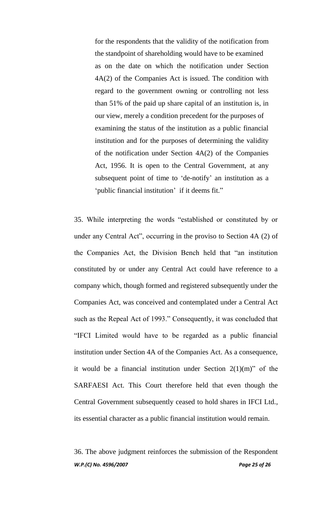for the respondents that the validity of the notification from the standpoint of shareholding would have to be examined as on the date on which the notification under Section 4A(2) of the Companies Act is issued. The condition with regard to the government owning or controlling not less than 51% of the paid up share capital of an institution is, in our view, merely a condition precedent for the purposes of examining the status of the institution as a public financial institution and for the purposes of determining the validity of the notification under Section 4A(2) of the Companies Act, 1956. It is open to the Central Government, at any subsequent point of time to 'de-notify' an institution as a "public financial institution" if it deems fit."

35. While interpreting the words "established or constituted by or under any Central Act", occurring in the proviso to Section 4A (2) of the Companies Act, the Division Bench held that "an institution constituted by or under any Central Act could have reference to a company which, though formed and registered subsequently under the Companies Act, was conceived and contemplated under a Central Act such as the Repeal Act of 1993." Consequently, it was concluded that "IFCI Limited would have to be regarded as a public financial institution under Section 4A of the Companies Act. As a consequence, it would be a financial institution under Section  $2(1)(m)$ " of the SARFAESI Act. This Court therefore held that even though the Central Government subsequently ceased to hold shares in IFCI Ltd., its essential character as a public financial institution would remain.

*W.P.(C) No. 4596/2007 Page 25 of 26* 36. The above judgment reinforces the submission of the Respondent